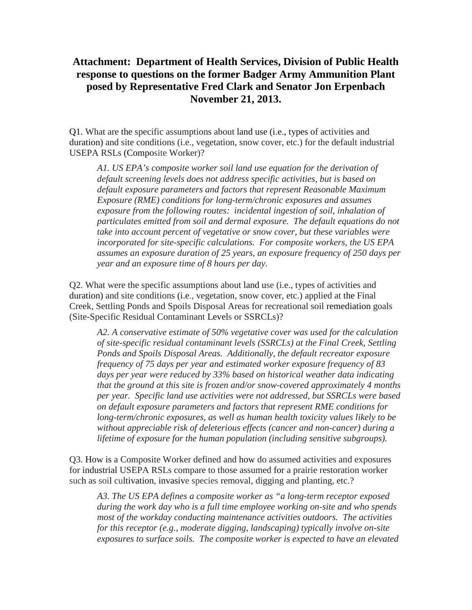## **Attachment: Department of Health Services, Division of Public Health response to questions on the former Badger Army Ammunition Plant posed by Representative Fred Clark and Senator Jon Erpenbach November 21, 2013.**

Q1. What are the specific assumptions about land use (i.e., types of activities and duration) and site conditions (i.e., vegetation, snow cover, etc.) for the default industrial USEPA RSLs (Composite Worker)?

*A1. US EPA's composite worker soil land use equation for the derivation of default screening levels does not address specific activities, but is based on default exposure parameters and factors that represent Reasonable Maximum Exposure (RME) conditions for long-term/chronic exposures and assumes exposure from the following routes: incidental ingestion of soil, inhalation of particulates emitted from soil and dermal exposure. The default equations do not take into account percent of vegetative or snow cover, but these variables were incorporated for site-specific calculations. For composite workers, the US EPA assumes an exposure duration of 25 years, an exposure frequency of 250 days per year and an exposure time of 8 hours per day.* 

Q2. What were the specific assumptions about land use (i.e., types of activities and duration) and site conditions (i.e., vegetation, snow cover, etc.) applied at the Final Creek, Settling Ponds and Spoils Disposal Areas for recreational soil remediation goals (Site-Specific Residual Contaminant Levels or SSRCLs)?

*A2. A conservative estimate of 50% vegetative cover was used for the calculation of site-specific residual contaminant levels (SSRCLs) at the Final Creek, Settling Ponds and Spoils Disposal Areas. Additionally, the default recreator exposure frequency of 75 days per year and estimated worker exposure frequency of 83 days per year were reduced by 33% based on historical weather data indicating that the ground at this site is frozen and/or snow-covered approximately 4 months per year. Specific land use activities were not addressed, but SSRCLs were based on default exposure parameters and factors that represent RME conditions for long-term/chronic exposures, as well as human health toxicity values likely to be without appreciable risk of deleterious effects (cancer and non-cancer) during a lifetime of exposure for the human population (including sensitive subgroups).* 

Q3. How is a Composite Worker defined and how do assumed activities and exposures for industrial USEPA RSLs compare to those assumed for a prairie restoration worker such as soil cultivation, invasive species removal, digging and planting, etc.?

*A3. The US EPA defines a composite worker as "a long-term receptor exposed during the work day who is a full time employee working on-site and who spends most of the workday conducting maintenance activities outdoors. The activities for this receptor (e.g., moderate digging, landscaping) typically involve on-site exposures to surface soils. The composite worker is expected to have an elevated*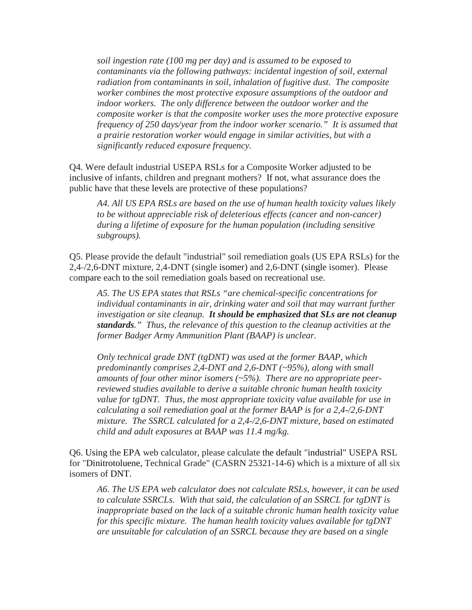*soil ingestion rate (100 mg per day) and is assumed to be exposed to contaminants via the following pathways: incidental ingestion of soil, external radiation from contaminants in soil, inhalation of fugitive dust. The composite worker combines the most protective exposure assumptions of the outdoor and indoor workers. The only difference between the outdoor worker and the composite worker is that the composite worker uses the more protective exposure frequency of 250 days/year from the indoor worker scenario." It is assumed that a prairie restoration worker would engage in similar activities, but with a significantly reduced exposure frequency.* 

Q4. Were default industrial USEPA RSLs for a Composite Worker adjusted to be inclusive of infants, children and pregnant mothers? If not, what assurance does the public have that these levels are protective of these populations?

*A4. All US EPA RSLs are based on the use of human health toxicity values likely to be without appreciable risk of deleterious effects (cancer and non-cancer) during a lifetime of exposure for the human population (including sensitive subgroups).* 

Q5. Please provide the default "industrial" soil remediation goals (US EPA RSLs) for the 2,4-/2,6-DNT mixture, 2,4-DNT (single isomer) and 2,6-DNT (single isomer). Please compare each to the soil remediation goals based on recreational use.

*A5. The US EPA states that RSLs "are chemical-specific concentrations for individual contaminants in air, drinking water and soil that may warrant further investigation or site cleanup. It should be emphasized that SLs are not cleanup standards." Thus, the relevance of this question to the cleanup activities at the former Badger Army Ammunition Plant (BAAP) is unclear.* 

*Only technical grade DNT (tgDNT) was used at the former BAAP, which predominantly comprises 2,4-DNT and 2,6-DNT (~95%), along with small amounts of four other minor isomers (~5%). There are no appropriate peerreviewed studies available to derive a suitable chronic human health toxicity value for tgDNT. Thus, the most appropriate toxicity value available for use in calculating a soil remediation goal at the former BAAP is for a 2,4-/2,6-DNT mixture. The SSRCL calculated for a 2,4-/2,6-DNT mixture, based on estimated child and adult exposures at BAAP was 11.4 mg/kg.*

Q6. Using the EPA web calculator, please calculate the default "industrial" USEPA RSL for "Dinitrotoluene, Technical Grade" (CASRN 25321-14-6) which is a mixture of all six isomers of DNT.

*A6. The US EPA web calculator does not calculate RSLs, however, it can be used to calculate SSRCLs. With that said, the calculation of an SSRCL for tgDNT is inappropriate based on the lack of a suitable chronic human health toxicity value for this specific mixture. The human health toxicity values available for tgDNT are unsuitable for calculation of an SSRCL because they are based on a single*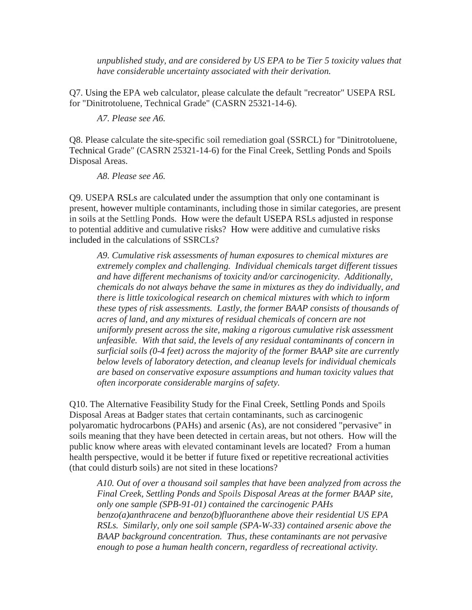*unpublished study, and are considered by US EPA to be Tier 5 toxicity values that have considerable uncertainty associated with their derivation.* 

Q7. Using the EPA web calculator, please calculate the default "recreator" USEPA RSL for "Dinitrotoluene, Technical Grade" (CASRN 25321-14-6).

*A7. Please see A6.* 

Q8. Please calculate the site-specific soil remediation goal (SSRCL) for "Dinitrotoluene, Technical Grade" (CASRN 25321-14-6) for the Final Creek, Settling Ponds and Spoils Disposal Areas.

*A8. Please see A6.*

Q9. USEPA RSLs are calculated under the assumption that only one contaminant is present, however multiple contaminants, including those in similar categories, are present in soils at the Settling Ponds. How were the default USEPA RSLs adjusted in response to potential additive and cumulative risks? How were additive and cumulative risks included in the calculations of SSRCLs?

*A9. Cumulative risk assessments of human exposures to chemical mixtures are extremely complex and challenging. Individual chemicals target different tissues and have different mechanisms of toxicity and/or carcinogenicity. Additionally, chemicals do not always behave the same in mixtures as they do individually, and there is little toxicological research on chemical mixtures with which to inform these types of risk assessments. Lastly, the former BAAP consists of thousands of acres of land, and any mixtures of residual chemicals of concern are not uniformly present across the site, making a rigorous cumulative risk assessment unfeasible. With that said, the levels of any residual contaminants of concern in surficial soils (0-4 feet) across the majority of the former BAAP site are currently below levels of laboratory detection, and cleanup levels for individual chemicals are based on conservative exposure assumptions and human toxicity values that often incorporate considerable margins of safety.* 

Q10. The Alternative Feasibility Study for the Final Creek, Settling Ponds and Spoils Disposal Areas at Badger states that certain contaminants, such as carcinogenic polyaromatic hydrocarbons (PAHs) and arsenic (As), are not considered "pervasive" in soils meaning that they have been detected in certain areas, but not others. How will the public know where areas with elevated contaminant levels are located? From a human health perspective, would it be better if future fixed or repetitive recreational activities (that could disturb soils) are not sited in these locations?

*A10. Out of over a thousand soil samples that have been analyzed from across the Final Creek, Settling Ponds and Spoils Disposal Areas at the former BAAP site, only one sample (SPB-91-01) contained the carcinogenic PAHs benzo(a)anthracene and benzo(b)fluoranthene above their residential US EPA RSLs. Similarly, only one soil sample (SPA-W-33) contained arsenic above the BAAP background concentration. Thus, these contaminants are not pervasive enough to pose a human health concern, regardless of recreational activity.*